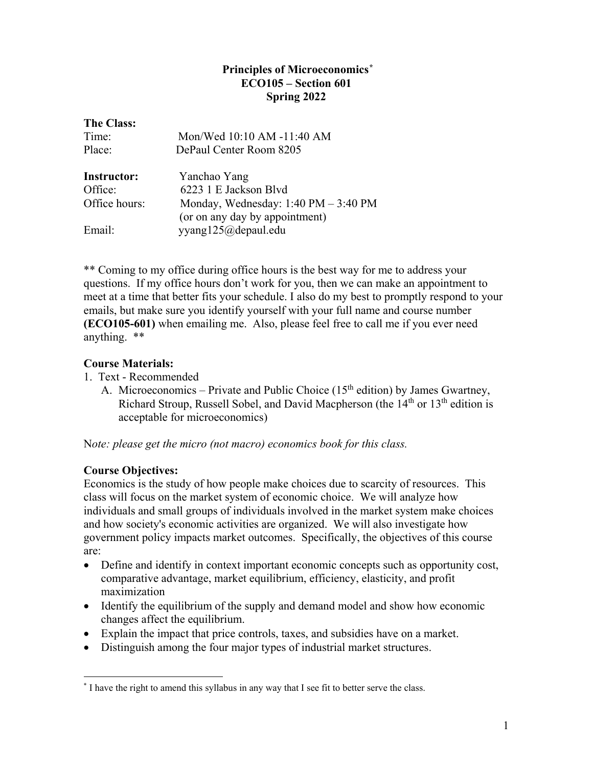# **Principles of Microeconomics[\\*](#page-0-0) ECO105 – Section 601 Spring 2022**

| <b>The Class:</b><br>Time: | Mon/Wed 10:10 AM -11:40 AM                             |  |  |
|----------------------------|--------------------------------------------------------|--|--|
|                            |                                                        |  |  |
| Place:                     | DePaul Center Room 8205                                |  |  |
| <b>Instructor:</b>         | Yanchao Yang                                           |  |  |
| Office:                    | 6223 1 E Jackson Blvd                                  |  |  |
| Office hours:              | Monday, Wednesday: $1:40 \text{ PM} - 3:40 \text{ PM}$ |  |  |
|                            | (or on any day by appointment)                         |  |  |
| Email:                     | yyang125@depaul.edu                                    |  |  |
|                            |                                                        |  |  |

\*\* Coming to my office during office hours is the best way for me to address your questions. If my office hours don't work for you, then we can make an appointment to meet at a time that better fits your schedule. I also do my best to promptly respond to your emails, but make sure you identify yourself with your full name and course number **(ECO105-601)** when emailing me. Also, please feel free to call me if you ever need anything. \*\*

# **Course Materials:**

- 1. Text Recommended
	- A. Microeconomics Private and Public Choice  $(15<sup>th</sup>$  edition) by James Gwartney, Richard Stroup, Russell Sobel, and David Macpherson (the  $14<sup>th</sup>$  or  $13<sup>th</sup>$  edition is acceptable for microeconomics)

N*ote: please get the micro (not macro) economics book for this class.*

# **Course Objectives:**

Economics is the study of how people make choices due to scarcity of resources. This class will focus on the market system of economic choice. We will analyze how individuals and small groups of individuals involved in the market system make choices and how society's economic activities are organized. We will also investigate how government policy impacts market outcomes. Specifically, the objectives of this course are:

- Define and identify in context important economic concepts such as opportunity cost, comparative advantage, market equilibrium, efficiency, elasticity, and profit maximization
- Identify the equilibrium of the supply and demand model and show how economic changes affect the equilibrium.
- Explain the impact that price controls, taxes, and subsidies have on a market.
- Distinguish among the four major types of industrial market structures.

<span id="page-0-0"></span> <sup>\*</sup> I have the right to amend this syllabus in any way that I see fit to better serve the class.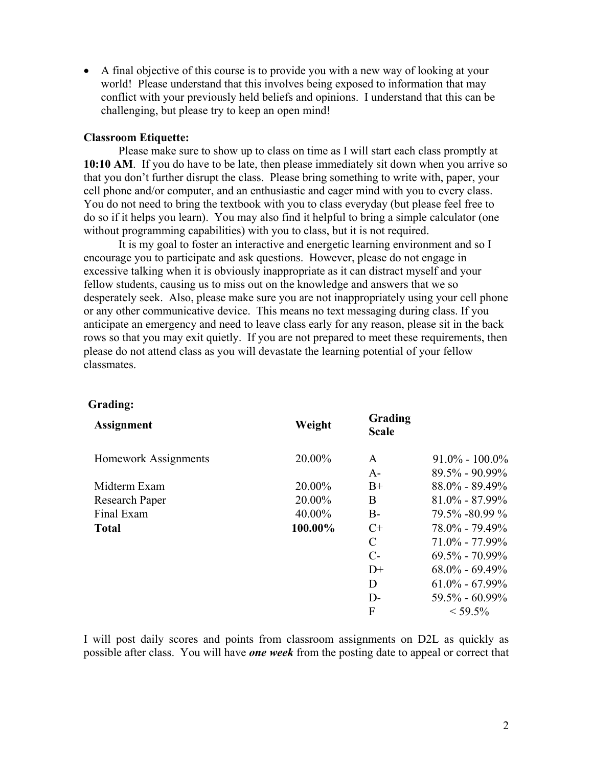• A final objective of this course is to provide you with a new way of looking at your world! Please understand that this involves being exposed to information that may conflict with your previously held beliefs and opinions. I understand that this can be challenging, but please try to keep an open mind!

## **Classroom Etiquette:**

Please make sure to show up to class on time as I will start each class promptly at **10:10 AM**. If you do have to be late, then please immediately sit down when you arrive so that you don't further disrupt the class. Please bring something to write with, paper, your cell phone and/or computer, and an enthusiastic and eager mind with you to every class. You do not need to bring the textbook with you to class everyday (but please feel free to do so if it helps you learn). You may also find it helpful to bring a simple calculator (one without programming capabilities) with you to class, but it is not required.

It is my goal to foster an interactive and energetic learning environment and so I encourage you to participate and ask questions. However, please do not engage in excessive talking when it is obviously inappropriate as it can distract myself and your fellow students, causing us to miss out on the knowledge and answers that we so desperately seek. Also, please make sure you are not inappropriately using your cell phone or any other communicative device. This means no text messaging during class. If you anticipate an emergency and need to leave class early for any reason, please sit in the back rows so that you may exit quietly. If you are not prepared to meet these requirements, then please do not attend class as you will devastate the learning potential of your fellow classmates.

#### **Grading:**

| <b>Assignment</b>           | Weight  | Grading<br><b>Scale</b> |                    |
|-----------------------------|---------|-------------------------|--------------------|
| <b>Homework Assignments</b> | 20.00%  | A                       | $91.0\% - 100.0\%$ |
|                             |         | $A-$                    | $89.5\% - 90.99\%$ |
| Midterm Exam                | 20.00%  | $B+$                    | $88.0\% - 89.49\%$ |
| <b>Research Paper</b>       | 20.00%  | B                       | $81.0\% - 87.99\%$ |
| Final Exam                  | 40.00%  | $B -$                   | 79.5% -80.99 %     |
| <b>Total</b>                | 100.00% | $C+$                    | $78.0\% - 79.49\%$ |
|                             |         | C                       | $71.0\% - 77.99\%$ |
|                             |         | $C-$                    | $69.5\% - 70.99\%$ |
|                             |         | $D+$                    | $68.0\% - 69.49\%$ |
|                             |         | D                       | $61.0\% - 67.99\%$ |
|                             |         | $D-$                    | $59.5\% - 60.99\%$ |
|                             |         | F                       | $<$ 59.5%          |
|                             |         |                         |                    |

I will post daily scores and points from classroom assignments on D2L as quickly as possible after class. You will have *one week* from the posting date to appeal or correct that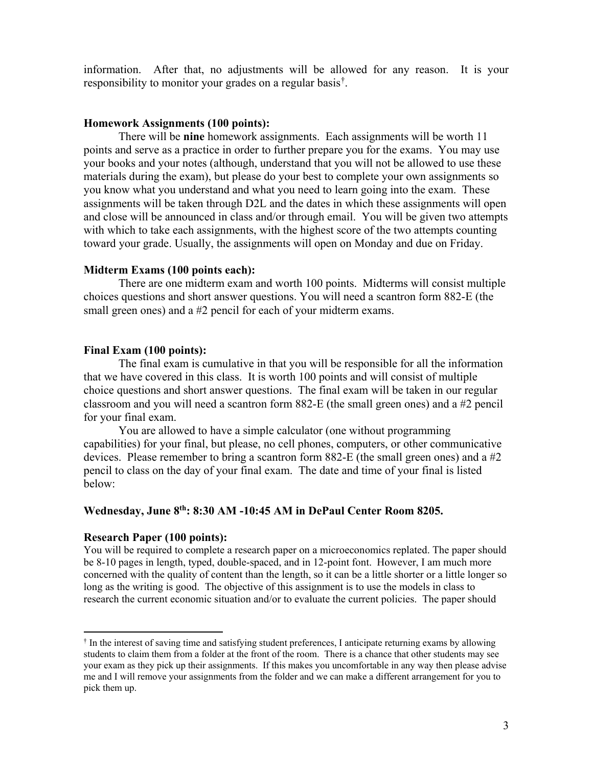information. After that, no adjustments will be allowed for any reason. It is your responsibility to monitor your grades on a regular basis[†](#page-2-0) .

#### **Homework Assignments (100 points):**

There will be **nine** homework assignments. Each assignments will be worth 11 points and serve as a practice in order to further prepare you for the exams. You may use your books and your notes (although, understand that you will not be allowed to use these materials during the exam), but please do your best to complete your own assignments so you know what you understand and what you need to learn going into the exam. These assignments will be taken through D2L and the dates in which these assignments will open and close will be announced in class and/or through email. You will be given two attempts with which to take each assignments, with the highest score of the two attempts counting toward your grade. Usually, the assignments will open on Monday and due on Friday.

## **Midterm Exams (100 points each):**

There are one midterm exam and worth 100 points. Midterms will consist multiple choices questions and short answer questions. You will need a scantron form 882-E (the small green ones) and a #2 pencil for each of your midterm exams.

### **Final Exam (100 points):**

The final exam is cumulative in that you will be responsible for all the information that we have covered in this class. It is worth 100 points and will consist of multiple choice questions and short answer questions. The final exam will be taken in our regular classroom and you will need a scantron form 882-E (the small green ones) and a #2 pencil for your final exam.

You are allowed to have a simple calculator (one without programming capabilities) for your final, but please, no cell phones, computers, or other communicative devices. Please remember to bring a scantron form 882-E (the small green ones) and a #2 pencil to class on the day of your final exam. The date and time of your final is listed below:

## **Wednesday, June 8th: 8:30 AM -10:45 AM in DePaul Center Room 8205.**

#### **Research Paper (100 points):**

You will be required to complete a research paper on a microeconomics replated. The paper should be 8-10 pages in length, typed, double-spaced, and in 12-point font. However, I am much more concerned with the quality of content than the length, so it can be a little shorter or a little longer so long as the writing is good. The objective of this assignment is to use the models in class to research the current economic situation and/or to evaluate the current policies. The paper should

<span id="page-2-0"></span> <sup>†</sup> In the interest of saving time and satisfying student preferences, I anticipate returning exams by allowing students to claim them from a folder at the front of the room. There is a chance that other students may see your exam as they pick up their assignments. If this makes you uncomfortable in any way then please advise me and I will remove your assignments from the folder and we can make a different arrangement for you to pick them up.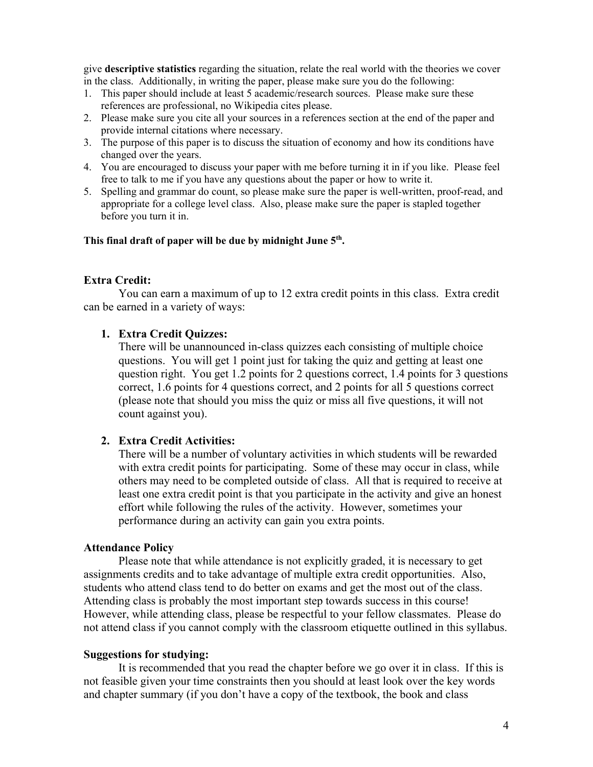give **descriptive statistics** regarding the situation, relate the real world with the theories we cover in the class. Additionally, in writing the paper, please make sure you do the following:

- 1. This paper should include at least 5 academic/research sources. Please make sure these references are professional, no Wikipedia cites please.
- 2. Please make sure you cite all your sources in a references section at the end of the paper and provide internal citations where necessary.
- 3. The purpose of this paper is to discuss the situation of economy and how its conditions have changed over the years.
- 4. You are encouraged to discuss your paper with me before turning it in if you like. Please feel free to talk to me if you have any questions about the paper or how to write it.
- 5. Spelling and grammar do count, so please make sure the paper is well-written, proof-read, and appropriate for a college level class. Also, please make sure the paper is stapled together before you turn it in.

#### **This final draft of paper will be due by midnight June 5th.**

### **Extra Credit:**

You can earn a maximum of up to 12 extra credit points in this class. Extra credit can be earned in a variety of ways:

### **1. Extra Credit Quizzes:**

There will be unannounced in-class quizzes each consisting of multiple choice questions. You will get 1 point just for taking the quiz and getting at least one question right. You get 1.2 points for 2 questions correct, 1.4 points for 3 questions correct, 1.6 points for 4 questions correct, and 2 points for all 5 questions correct (please note that should you miss the quiz or miss all five questions, it will not count against you).

#### **2. Extra Credit Activities:**

There will be a number of voluntary activities in which students will be rewarded with extra credit points for participating. Some of these may occur in class, while others may need to be completed outside of class. All that is required to receive at least one extra credit point is that you participate in the activity and give an honest effort while following the rules of the activity. However, sometimes your performance during an activity can gain you extra points.

#### **Attendance Policy**

Please note that while attendance is not explicitly graded, it is necessary to get assignments credits and to take advantage of multiple extra credit opportunities. Also, students who attend class tend to do better on exams and get the most out of the class. Attending class is probably the most important step towards success in this course! However, while attending class, please be respectful to your fellow classmates. Please do not attend class if you cannot comply with the classroom etiquette outlined in this syllabus.

### **Suggestions for studying:**

It is recommended that you read the chapter before we go over it in class. If this is not feasible given your time constraints then you should at least look over the key words and chapter summary (if you don't have a copy of the textbook, the book and class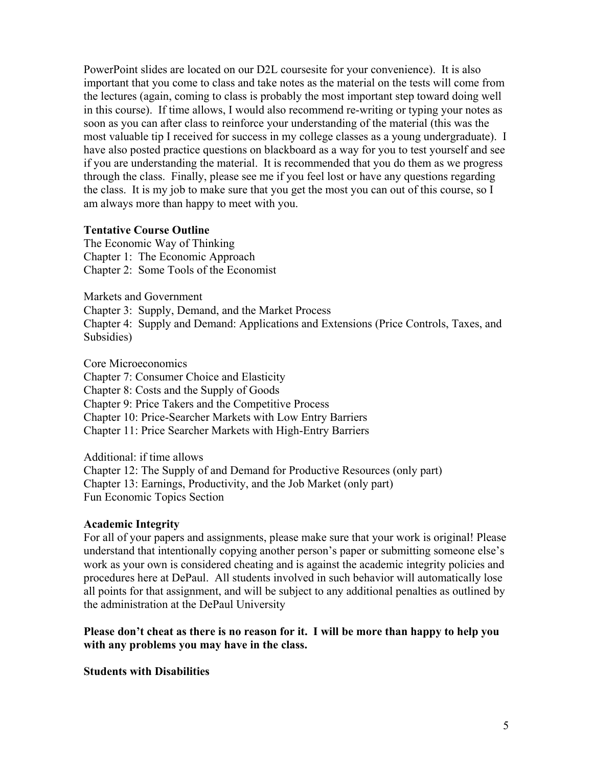PowerPoint slides are located on our D2L coursesite for your convenience). It is also important that you come to class and take notes as the material on the tests will come from the lectures (again, coming to class is probably the most important step toward doing well in this course). If time allows, I would also recommend re-writing or typing your notes as soon as you can after class to reinforce your understanding of the material (this was the most valuable tip I received for success in my college classes as a young undergraduate). I have also posted practice questions on blackboard as a way for you to test yourself and see if you are understanding the material. It is recommended that you do them as we progress through the class. Finally, please see me if you feel lost or have any questions regarding the class. It is my job to make sure that you get the most you can out of this course, so I am always more than happy to meet with you.

### **Tentative Course Outline**

The Economic Way of Thinking Chapter 1: The Economic Approach Chapter 2: Some Tools of the Economist

Markets and Government

Chapter 3: Supply, Demand, and the Market Process

Chapter 4: Supply and Demand: Applications and Extensions (Price Controls, Taxes, and Subsidies)

Core Microeconomics

Chapter 7: Consumer Choice and Elasticity

Chapter 8: Costs and the Supply of Goods

Chapter 9: Price Takers and the Competitive Process

Chapter 10: Price-Searcher Markets with Low Entry Barriers

Chapter 11: Price Searcher Markets with High-Entry Barriers

Additional: if time allows Chapter 12: The Supply of and Demand for Productive Resources (only part) Chapter 13: Earnings, Productivity, and the Job Market (only part) Fun Economic Topics Section

## **Academic Integrity**

For all of your papers and assignments, please make sure that your work is original! Please understand that intentionally copying another person's paper or submitting someone else's work as your own is considered cheating and is against the academic integrity policies and procedures here at DePaul. All students involved in such behavior will automatically lose all points for that assignment, and will be subject to any additional penalties as outlined by the administration at the DePaul University

# **Please don't cheat as there is no reason for it. I will be more than happy to help you with any problems you may have in the class.**

**Students with Disabilities**